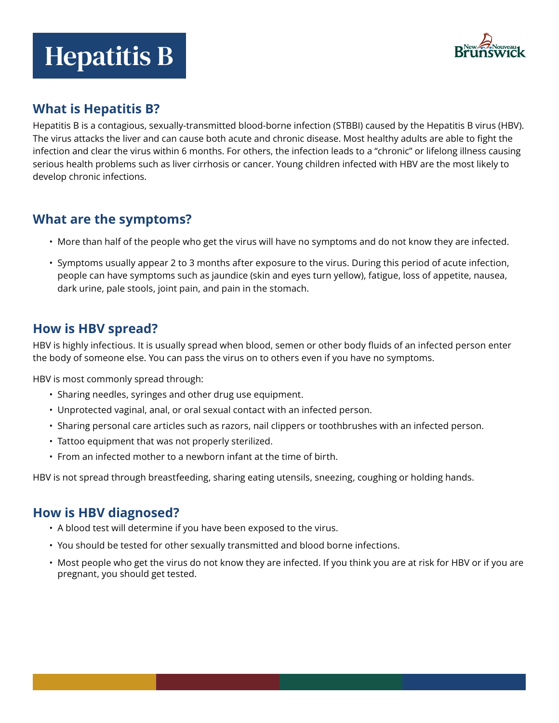# Hepatitis B



## **What is Hepatitis B?**

Hepatitis B is a contagious, sexually-transmitted blood-borne infection (STBBI) caused by the Hepatitis B virus (HBV). The virus attacks the liver and can cause both acute and chronic disease. Most healthy adults are able to fight the infection and clear the virus within 6 months. For others, the infection leads to a "chronic" or lifelong illness causing serious health problems such as liver cirrhosis or cancer. Young children infected with HBV are the most likely to develop chronic infections.

## **What are the symptoms?**

- More than half of the people who get the virus will have no symptoms and do not know they are infected.
- Symptoms usually appear 2 to 3 months after exposure to the virus. During this period of acute infection, people can have symptoms such as jaundice (skin and eyes turn yellow), fatigue, loss of appetite, nausea, dark urine, pale stools, joint pain, and pain in the stomach.

## **How is HBV spread?**

HBV is highly infectious. It is usually spread when blood, semen or other body fluids of an infected person enter the body of someone else. You can pass the virus on to others even if you have no symptoms.

HBV is most commonly spread through:

- Sharing needles, syringes and other drug use equipment.
- Unprotected vaginal, anal, or oral sexual contact with an infected person.
- Sharing personal care articles such as razors, nail clippers or toothbrushes with an infected person.
- Tattoo equipment that was not properly sterilized.
- From an infected mother to a newborn infant at the time of birth.

HBV is not spread through breastfeeding, sharing eating utensils, sneezing, coughing or holding hands.

# **How is HBV diagnosed?**

- A blood test will determine if you have been exposed to the virus.
- You should be tested for other sexually transmitted and blood borne infections.
- Most people who get the virus do not know they are infected. If you think you are at risk for HBV or if you are pregnant, you should get tested.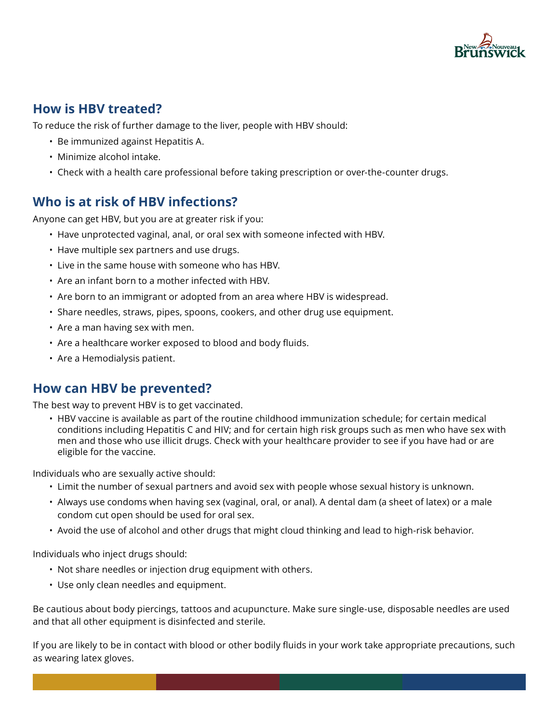

## **How is HBV treated?**

To reduce the risk of further damage to the liver, people with HBV should:

- Be immunized against Hepatitis A.
- Minimize alcohol intake.
- Check with a health care professional before taking prescription or over-the-counter drugs.

## **Who is at risk of HBV infections?**

Anyone can get HBV, but you are at greater risk if you:

- Have unprotected vaginal, anal, or oral sex with someone infected with HBV.
- Have multiple sex partners and use drugs.
- Live in the same house with someone who has HBV.
- Are an infant born to a mother infected with HBV.
- Are born to an immigrant or adopted from an area where HBV is widespread.
- Share needles, straws, pipes, spoons, cookers, and other drug use equipment.
- Are a man having sex with men.
- Are a healthcare worker exposed to blood and body fluids.
- Are a Hemodialysis patient.

#### **How can HBV be prevented?**

The best way to prevent HBV is to get vaccinated.

• HBV vaccine is available as part of the routine childhood immunization schedule; for certain medical conditions including Hepatitis C and HIV; and for certain high risk groups such as men who have sex with men and those who use illicit drugs. Check with your healthcare provider to see if you have had or are eligible for the vaccine.

Individuals who are sexually active should:

- Limit the number of sexual partners and avoid sex with people whose sexual history is unknown.
- Always use condoms when having sex (vaginal, oral, or anal). A dental dam (a sheet of latex) or a male condom cut open should be used for oral sex.
- Avoid the use of alcohol and other drugs that might cloud thinking and lead to high-risk behavior.

Individuals who inject drugs should:

- Not share needles or injection drug equipment with others.
- Use only clean needles and equipment.

Be cautious about body piercings, tattoos and acupuncture. Make sure single-use, disposable needles are used and that all other equipment is disinfected and sterile.

If you are likely to be in contact with blood or other bodily fluids in your work take appropriate precautions, such as wearing latex gloves.